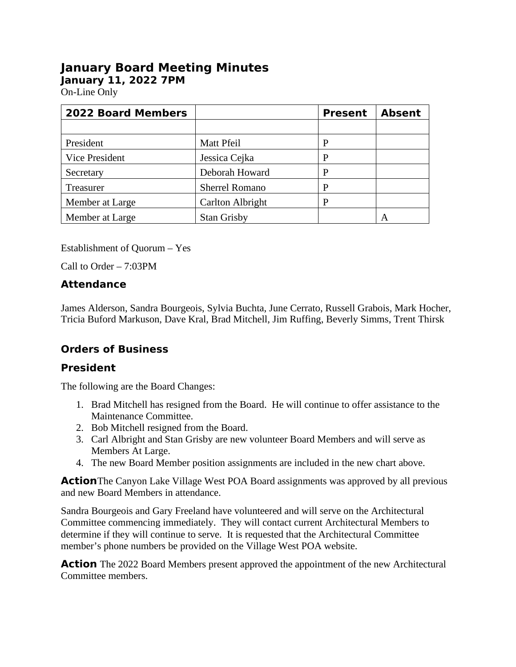# **January Board Meeting Minutes**

**January 11, 2022 7PM** 

On-Line Only

| <b>2022 Board Members</b> |                       | <b>Present</b> | <b>Absent</b> |
|---------------------------|-----------------------|----------------|---------------|
|                           |                       |                |               |
| President                 | Matt Pfeil            | P              |               |
| <b>Vice President</b>     | Jessica Cejka         | P              |               |
| Secretary                 | Deborah Howard        | P              |               |
| Treasurer                 | <b>Sherrel Romano</b> | P              |               |
| Member at Large           | Carlton Albright      | P              |               |
| Member at Large           | <b>Stan Grisby</b>    |                |               |

Establishment of Quorum – Yes

Call to Order – 7:03PM

# **Attendance**

James Alderson, Sandra Bourgeois, Sylvia Buchta, June Cerrato, Russell Grabois, Mark Hocher, Tricia Buford Markuson, Dave Kral, Brad Mitchell, Jim Ruffing, Beverly Simms, Trent Thirsk

# **Orders of Business**

# **President**

The following are the Board Changes:

- 1. Brad Mitchell has resigned from the Board. He will continue to offer assistance to the Maintenance Committee.
- 2. Bob Mitchell resigned from the Board.
- 3. Carl Albright and Stan Grisby are new volunteer Board Members and will serve as Members At Large.
- 4. The new Board Member position assignments are included in the new chart above.

**Action**The Canyon Lake Village West POA Board assignments was approved by all previous and new Board Members in attendance.

Sandra Bourgeois and Gary Freeland have volunteered and will serve on the Architectural Committee commencing immediately. They will contact current Architectural Members to determine if they will continue to serve. It is requested that the Architectural Committee member's phone numbers be provided on the Village West POA website.

**Action** The 2022 Board Members present approved the appointment of the new Architectural Committee members.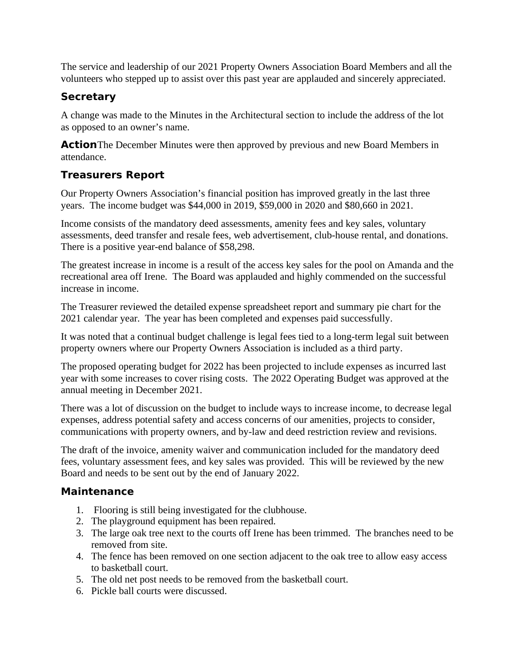The service and leadership of our 2021 Property Owners Association Board Members and all the volunteers who stepped up to assist over this past year are applauded and sincerely appreciated.

# **Secretary**

A change was made to the Minutes in the Architectural section to include the address of the lot as opposed to an owner's name.

**Action**The December Minutes were then approved by previous and new Board Members in attendance.

# **Treasurers Report**

Our Property Owners Association's financial position has improved greatly in the last three years. The income budget was \$44,000 in 2019, \$59,000 in 2020 and \$80,660 in 2021.

Income consists of the mandatory deed assessments, amenity fees and key sales, voluntary assessments, deed transfer and resale fees, web advertisement, club-house rental, and donations. There is a positive year-end balance of \$58,298.

The greatest increase in income is a result of the access key sales for the pool on Amanda and the recreational area off Irene. The Board was applauded and highly commended on the successful increase in income.

The Treasurer reviewed the detailed expense spreadsheet report and summary pie chart for the 2021 calendar year. The year has been completed and expenses paid successfully.

It was noted that a continual budget challenge is legal fees tied to a long-term legal suit between property owners where our Property Owners Association is included as a third party.

The proposed operating budget for 2022 has been projected to include expenses as incurred last year with some increases to cover rising costs. The 2022 Operating Budget was approved at the annual meeting in December 2021.

There was a lot of discussion on the budget to include ways to increase income, to decrease legal expenses, address potential safety and access concerns of our amenities, projects to consider, communications with property owners, and by-law and deed restriction review and revisions.

The draft of the invoice, amenity waiver and communication included for the mandatory deed fees, voluntary assessment fees, and key sales was provided. This will be reviewed by the new Board and needs to be sent out by the end of January 2022.

# **Maintenance**

- 1. Flooring is still being investigated for the clubhouse.
- 2. The playground equipment has been repaired.
- 3. The large oak tree next to the courts off Irene has been trimmed. The branches need to be removed from site.
- 4. The fence has been removed on one section adjacent to the oak tree to allow easy access to basketball court.
- 5. The old net post needs to be removed from the basketball court.
- 6. Pickle ball courts were discussed.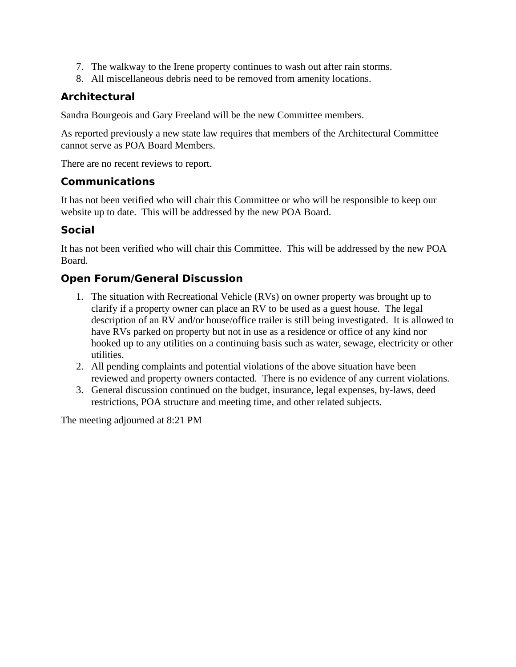- 7. The walkway to the Irene property continues to wash out after rain storms.
- 8. All miscellaneous debris need to be removed from amenity locations.

# **Architectural**

Sandra Bourgeois and Gary Freeland will be the new Committee members.

As reported previously a new state law requires that members of the Architectural Committee cannot serve as POA Board Members.

There are no recent reviews to report.

## **Communications**

It has not been verified who will chair this Committee or who will be responsible to keep our website up to date. This will be addressed by the new POA Board.

# **Social**

It has not been verified who will chair this Committee. This will be addressed by the new POA Board.

# **Open Forum/General Discussion**

- 1. The situation with Recreational Vehicle (RVs) on owner property was brought up to clarify if a property owner can place an RV to be used as a guest house. The legal description of an RV and/or house/office trailer is still being investigated. It is allowed to have RVs parked on property but not in use as a residence or office of any kind nor hooked up to any utilities on a continuing basis such as water, sewage, electricity or other utilities.
- 2. All pending complaints and potential violations of the above situation have been reviewed and property owners contacted. There is no evidence of any current violations.
- 3. General discussion continued on the budget, insurance, legal expenses, by-laws, deed restrictions, POA structure and meeting time, and other related subjects.

The meeting adjourned at 8:21 PM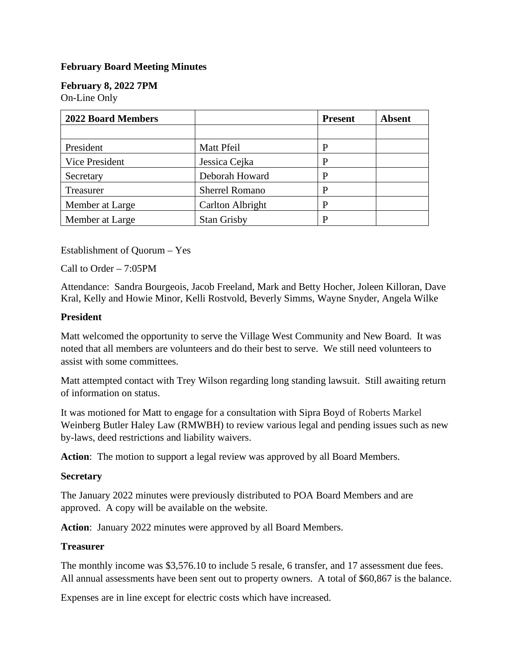## **February Board Meeting Minutes**

# **February 8, 2022 7PM**

On-Line Only

| <b>2022 Board Members</b> |                       | <b>Present</b> | <b>Absent</b> |
|---------------------------|-----------------------|----------------|---------------|
|                           |                       |                |               |
| President                 | Matt Pfeil            | P              |               |
| <b>Vice President</b>     | Jessica Cejka         | P              |               |
| Secretary                 | Deborah Howard        | P              |               |
| Treasurer                 | <b>Sherrel Romano</b> | P              |               |
| Member at Large           | Carlton Albright      | P              |               |
| Member at Large           | <b>Stan Grisby</b>    | P              |               |

Establishment of Quorum – Yes

Call to Order – 7:05PM

Attendance: Sandra Bourgeois, Jacob Freeland, Mark and Betty Hocher, Joleen Killoran, Dave Kral, Kelly and Howie Minor, Kelli Rostvold, Beverly Simms, Wayne Snyder, Angela Wilke

#### **President**

Matt welcomed the opportunity to serve the Village West Community and New Board. It was noted that all members are volunteers and do their best to serve. We still need volunteers to assist with some committees.

Matt attempted contact with Trey Wilson regarding long standing lawsuit. Still awaiting return of information on status.

It was motioned for Matt to engage for a consultation with Sipra Boyd of Roberts Markel Weinberg Butler Haley Law (RMWBH) to review various legal and pending issues such as new by-laws, deed restrictions and liability waivers.

**Action**: The motion to support a legal review was approved by all Board Members.

#### **Secretary**

The January 2022 minutes were previously distributed to POA Board Members and are approved. A copy will be available on the website.

**Action**: January 2022 minutes were approved by all Board Members.

#### **Treasurer**

The monthly income was \$3,576.10 to include 5 resale, 6 transfer, and 17 assessment due fees. All annual assessments have been sent out to property owners. A total of \$60,867 is the balance.

Expenses are in line except for electric costs which have increased.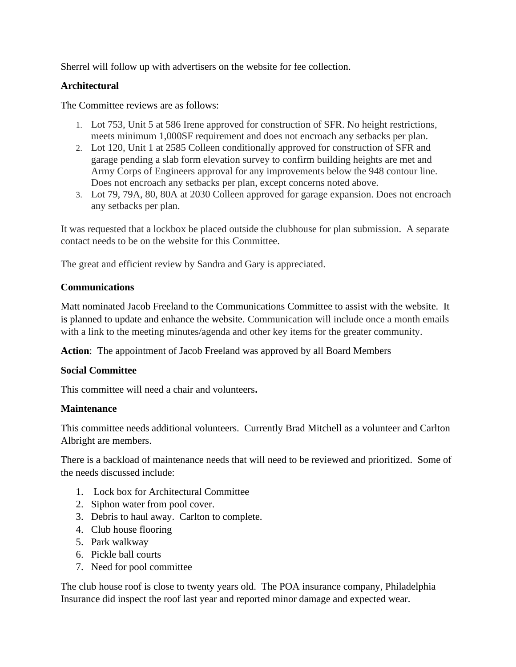Sherrel will follow up with advertisers on the website for fee collection.

## **Architectural**

The Committee reviews are as follows:

- 1. Lot 753, Unit 5 at 586 Irene approved for construction of SFR. No height restrictions, meets minimum 1,000SF requirement and does not encroach any setbacks per plan.
- 2. Lot 120, Unit 1 at 2585 Colleen conditionally approved for construction of SFR and garage pending a slab form elevation survey to confirm building heights are met and Army Corps of Engineers approval for any improvements below the 948 contour line. Does not encroach any setbacks per plan, except concerns noted above.
- 3. Lot 79, 79A, 80, 80A at 2030 Colleen approved for garage expansion. Does not encroach any setbacks per plan.

It was requested that a lockbox be placed outside the clubhouse for plan submission. A separate contact needs to be on the website for this Committee.

The great and efficient review by Sandra and Gary is appreciated.

## **Communications**

Matt nominated Jacob Freeland to the Communications Committee to assist with the website. It is planned to update and enhance the website. Communication will include once a month emails with a link to the meeting minutes/agenda and other key items for the greater community.

**Action**: The appointment of Jacob Freeland was approved by all Board Members

## **Social Committee**

This committee will need a chair and volunteers**.**

## **Maintenance**

This committee needs additional volunteers. Currently Brad Mitchell as a volunteer and Carlton Albright are members.

There is a backload of maintenance needs that will need to be reviewed and prioritized. Some of the needs discussed include:

- 1. Lock box for Architectural Committee
- 2. Siphon water from pool cover.
- 3. Debris to haul away. Carlton to complete.
- 4. Club house flooring
- 5. Park walkway
- 6. Pickle ball courts
- 7. Need for pool committee

The club house roof is close to twenty years old. The POA insurance company, Philadelphia Insurance did inspect the roof last year and reported minor damage and expected wear.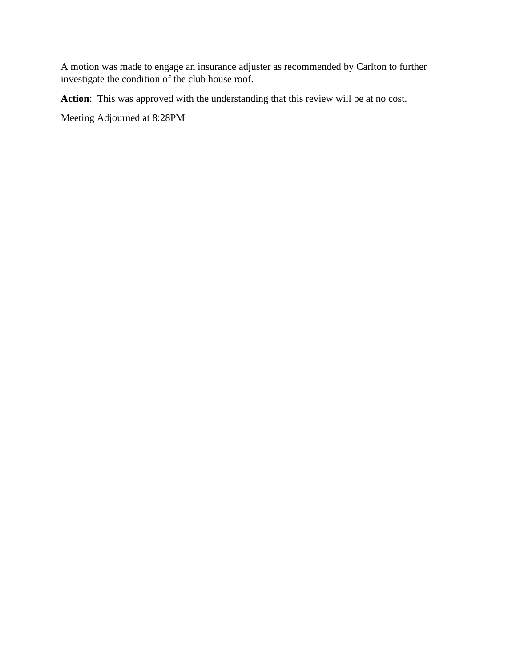A motion was made to engage an insurance adjuster as recommended by Carlton to further investigate the condition of the club house roof.

**Action**: This was approved with the understanding that this review will be at no cost.

Meeting Adjourned at 8:28PM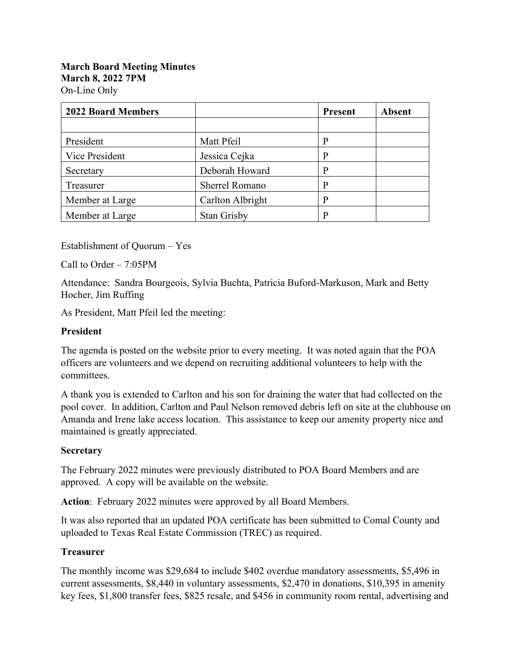| <b>2022 Board Members</b> |                       | <b>Present</b> | <b>Absent</b> |
|---------------------------|-----------------------|----------------|---------------|
|                           |                       |                |               |
| President                 | Matt Pfeil            | р              |               |
| Vice President            | Jessica Cejka         | p              |               |
| Secretary                 | Deborah Howard        | D              |               |
| Treasurer                 | <b>Sherrel Romano</b> | p              |               |
| Member at Large           | Carlton Albright      | D              |               |
| Member at Large           | <b>Stan Grisby</b>    |                |               |

Establishment of Quorum – Yes

Call to Order – 7:05PM

Attendance: Sandra Bourgeois, Sylvia Buchta, Patricia Buford-Markuson, Mark and Betty Hocher, Jim Ruffing

As President, Matt Pfeil led the meeting:

#### **President**

The agenda is posted on the website prior to every meeting. It was noted again that the POA officers are volunteers and we depend on recruiting additional volunteers to help with the committees.

A thank you is extended to Carlton and his son for draining the water that had collected on the pool cover. In addition, Carlton and Paul Nelson removed debris left on site at the clubhouse on Amanda and Irene lake access location. This assistance to keep our amenity property nice and maintained is greatly appreciated.

## **Secretary**

The February 2022 minutes were previously distributed to POA Board Members and are approved. A copy will be available on the website.

**Action**: February 2022 minutes were approved by all Board Members.

It was also reported that an updated POA certificate has been submitted to Comal County and uploaded to Texas Real Estate Commission (TREC) as required.

## **Treasurer**

The monthly income was \$29,684 to include \$402 overdue mandatory assessments, \$5,496 in current assessments, \$8,440 in voluntary assessments, \$2,470 in donations, \$10,395 in amenity key fees, \$1,800 transfer fees, \$825 resale, and \$456 in community room rental, advertising and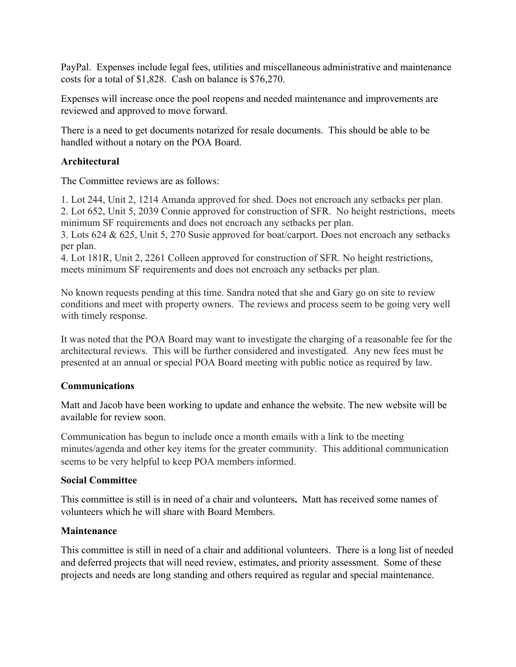PayPal. Expenses include legal fees, utilities and miscellaneous administrative and maintenance costs for a total of \$1,828. Cash on balance is \$76,270.

Expenses will increase once the pool reopens and needed maintenance and improvements are reviewed and approved to move forward.

There is a need to get documents notarized for resale documents. This should be able to be handled without a notary on the POA Board.

## **Architectural**

The Committee reviews are as follows:

1. Lot 244, Unit 2, 1214 Amanda approved for shed. Does not encroach any setbacks per plan. 2. Lot 652, Unit 5, 2039 Connie approved for construction of SFR. No height restrictions, meets minimum SF requirements and does not encroach any setbacks per plan.

3. Lots 624 & 625, Unit 5, 270 Susie approved for boat/carport. Does not encroach any setbacks per plan.

4. Lot 181R, Unit 2, 2261 Colleen approved for construction of SFR. No height restrictions, meets minimum SF requirements and does not encroach any setbacks per plan.

No known requests pending at this time. Sandra noted that she and Gary go on site to review conditions and meet with property owners. The reviews and process seem to be going very well with timely response.

It was noted that the POA Board may want to investigate the charging of a reasonable fee for the architectural reviews. This will be further considered and investigated. Any new fees must be presented at an annual or special POA Board meeting with public notice as required by law.

## **Communications**

Matt and Jacob have been working to update and enhance the website. The new website will be available for review soon.

Communication has begun to include once a month emails with a link to the meeting minutes/agenda and other key items for the greater community. This additional communication seems to be very helpful to keep POA members informed.

#### **Social Committee**

This committee is still is in need of a chair and volunteers**.** Matt has received some names of volunteers which he will share with Board Members.

## **Maintenance**

This committee is still in need of a chair and additional volunteers. There is a long list of needed and deferred projects that will need review, estimates, and priority assessment. Some of these projects and needs are long standing and others required as regular and special maintenance.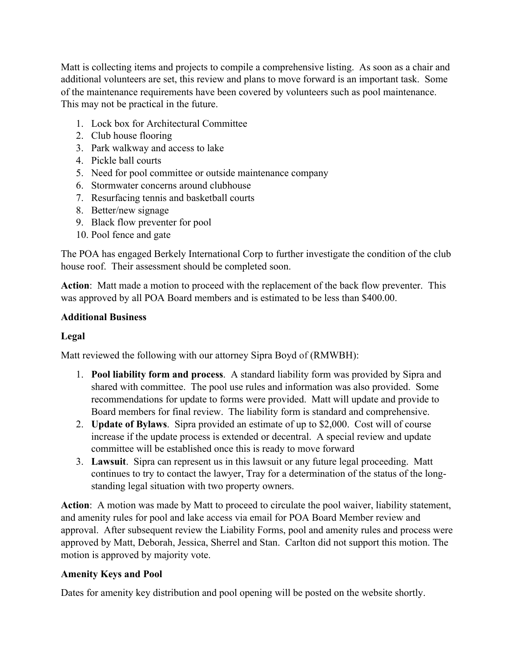Matt is collecting items and projects to compile a comprehensive listing. As soon as a chair and additional volunteers are set, this review and plans to move forward is an important task. Some of the maintenance requirements have been covered by volunteers such as pool maintenance. This may not be practical in the future.

- 1. Lock box for Architectural Committee
- 2. Club house flooring
- 3. Park walkway and access to lake
- 4. Pickle ball courts
- 5. Need for pool committee or outside maintenance company
- 6. Stormwater concerns around clubhouse
- 7. Resurfacing tennis and basketball courts
- 8. Better/new signage
- 9. Black flow preventer for pool
- 10. Pool fence and gate

The POA has engaged Berkely International Corp to further investigate the condition of the club house roof. Their assessment should be completed soon.

**Action**: Matt made a motion to proceed with the replacement of the back flow preventer. This was approved by all POA Board members and is estimated to be less than \$400.00.

## **Additional Business**

## **Legal**

Matt reviewed the following with our attorney Sipra Boyd of (RMWBH):

- 1. **Pool liability form and process**. A standard liability form was provided by Sipra and shared with committee. The pool use rules and information was also provided. Some recommendations for update to forms were provided. Matt will update and provide to Board members for final review. The liability form is standard and comprehensive.
- 2. **Update of Bylaws**. Sipra provided an estimate of up to \$2,000. Cost will of course increase if the update process is extended or decentral. A special review and update committee will be established once this is ready to move forward
- 3. **Lawsuit**. Sipra can represent us in this lawsuit or any future legal proceeding. Matt continues to try to contact the lawyer, Tray for a determination of the status of the longstanding legal situation with two property owners.

**Action**: A motion was made by Matt to proceed to circulate the pool waiver, liability statement, and amenity rules for pool and lake access via email for POA Board Member review and approval. After subsequent review the Liability Forms, pool and amenity rules and process were approved by Matt, Deborah, Jessica, Sherrel and Stan. Carlton did not support this motion. The motion is approved by majority vote.

## **Amenity Keys and Pool**

Dates for amenity key distribution and pool opening will be posted on the website shortly.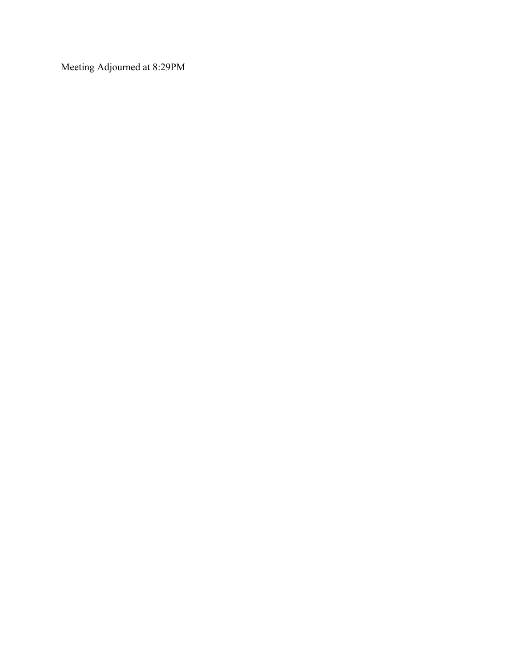Meeting Adjourned at 8:29PM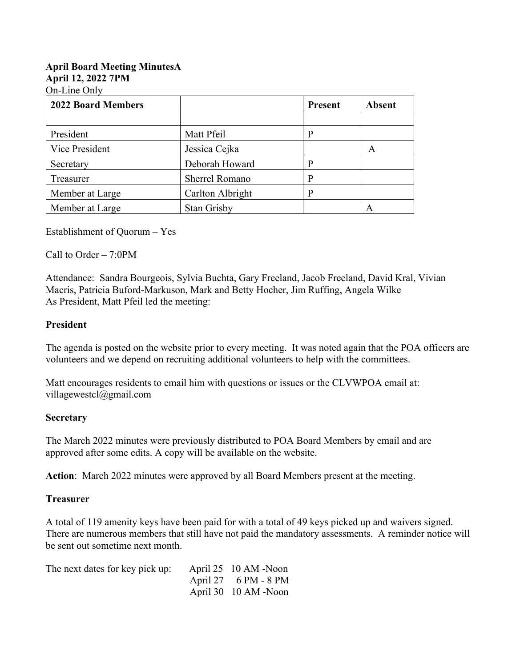## **April Board Meeting MinutesA April 12, 2022 7PM**

On-Line Only

| <b>2022 Board Members</b> |                       | <b>Present</b> | <b>Absent</b> |
|---------------------------|-----------------------|----------------|---------------|
|                           |                       |                |               |
| President                 | Matt Pfeil            | р              |               |
| Vice President            | Jessica Cejka         |                | A             |
| Secretary                 | Deborah Howard        | D              |               |
| Treasurer                 | <b>Sherrel Romano</b> | P              |               |
| Member at Large           | Carlton Albright      | p              |               |
| Member at Large           | <b>Stan Grisby</b>    |                | A             |

Establishment of Quorum – Yes

Call to Order – 7:0PM

Attendance: Sandra Bourgeois, Sylvia Buchta, Gary Freeland, Jacob Freeland, David Kral, Vivian Macris, Patricia Buford-Markuson, Mark and Betty Hocher, Jim Ruffing, Angela Wilke As President, Matt Pfeil led the meeting:

## **President**

The agenda is posted on the website prior to every meeting. It was noted again that the POA officers are volunteers and we depend on recruiting additional volunteers to help with the committees.

Matt encourages residents to email him with questions or issues or the CLVWPOA email at: villagewestcl@gmail.com

#### **Secretary**

The March 2022 minutes were previously distributed to POA Board Members by email and are approved after some edits. A copy will be available on the website.

**Action**: March 2022 minutes were approved by all Board Members present at the meeting.

#### **Treasurer**

A total of 119 amenity keys have been paid for with a total of 49 keys picked up and waivers signed. There are numerous members that still have not paid the mandatory assessments. A reminder notice will be sent out sometime next month.

| The next dates for key pick up: April 25 10 AM -Noon |                      |
|------------------------------------------------------|----------------------|
|                                                      | April 27 6 PM - 8 PM |
|                                                      | April 30 10 AM -Noon |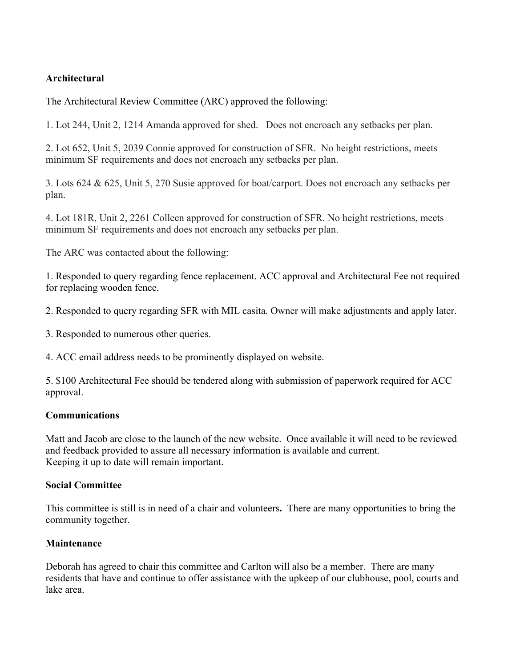## **Architectural**

The Architectural Review Committee (ARC) approved the following:

1. Lot 244, Unit 2, 1214 Amanda approved for shed. Does not encroach any setbacks per plan.

2. Lot 652, Unit 5, 2039 Connie approved for construction of SFR. No height restrictions, meets minimum SF requirements and does not encroach any setbacks per plan.

3. Lots 624 & 625, Unit 5, 270 Susie approved for boat/carport. Does not encroach any setbacks per plan.

4. Lot 181R, Unit 2, 2261 Colleen approved for construction of SFR. No height restrictions, meets minimum SF requirements and does not encroach any setbacks per plan.

The ARC was contacted about the following:

1. Responded to query regarding fence replacement. ACC approval and Architectural Fee not required for replacing wooden fence.

2. Responded to query regarding SFR with MIL casita. Owner will make adjustments and apply later.

3. Responded to numerous other queries.

4. ACC email address needs to be prominently displayed on website.

5. \$100 Architectural Fee should be tendered along with submission of paperwork required for ACC approval.

## **Communications**

Matt and Jacob are close to the launch of the new website.Once available it will need to be reviewed and feedback provided to assure all necessary information is available and current. Keeping it up to date will remain important.

## **Social Committee**

This committee is still is in need of a chair and volunteers**.** There are many opportunities to bring the community together.

## **Maintenance**

Deborah has agreed to chair this committee and Carlton will also be a member. There are many residents that have and continue to offer assistance with the upkeep of our clubhouse, pool, courts and lake area.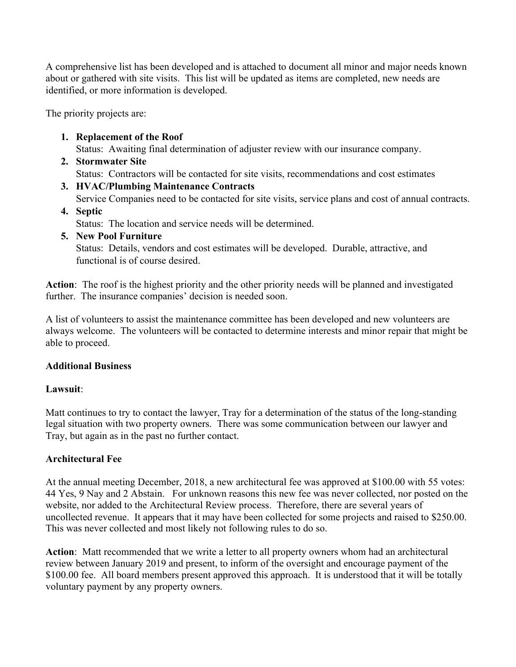A comprehensive list has been developed and is attached to document all minor and major needs known about or gathered with site visits. This list will be updated as items are completed, new needs are identified, or more information is developed.

The priority projects are:

**1. Replacement of the Roof** 

Status: Awaiting final determination of adjuster review with our insurance company.

- **2. Stormwater Site** Status: Contractors will be contacted for site visits, recommendations and cost estimates
- **3. HVAC/Plumbing Maintenance Contracts** Service Companies need to be contacted for site visits, service plans and cost of annual contracts.
- **4. Septic**

Status: The location and service needs will be determined.

**5. New Pool Furniture**  Status: Details, vendors and cost estimates will be developed. Durable, attractive, and functional is of course desired.

**Action**: The roof is the highest priority and the other priority needs will be planned and investigated further. The insurance companies' decision is needed soon.

A list of volunteers to assist the maintenance committee has been developed and new volunteers are always welcome. The volunteers will be contacted to determine interests and minor repair that might be able to proceed.

## **Additional Business**

#### **Lawsuit**:

Matt continues to try to contact the lawyer, Tray for a determination of the status of the long-standing legal situation with two property owners. There was some communication between our lawyer and Tray, but again as in the past no further contact.

#### **Architectural Fee**

At the annual meeting December, 2018, a new architectural fee was approved at \$100.00 with 55 votes: 44 Yes, 9 Nay and 2 Abstain. For unknown reasons this new fee was never collected, nor posted on the website, nor added to the Architectural Review process. Therefore, there are several years of uncollected revenue. It appears that it may have been collected for some projects and raised to \$250.00. This was never collected and most likely not following rules to do so.

**Action**: Matt recommended that we write a letter to all property owners whom had an architectural review between January 2019 and present, to inform of the oversight and encourage payment of the \$100.00 fee. All board members present approved this approach. It is understood that it will be totally voluntary payment by any property owners.